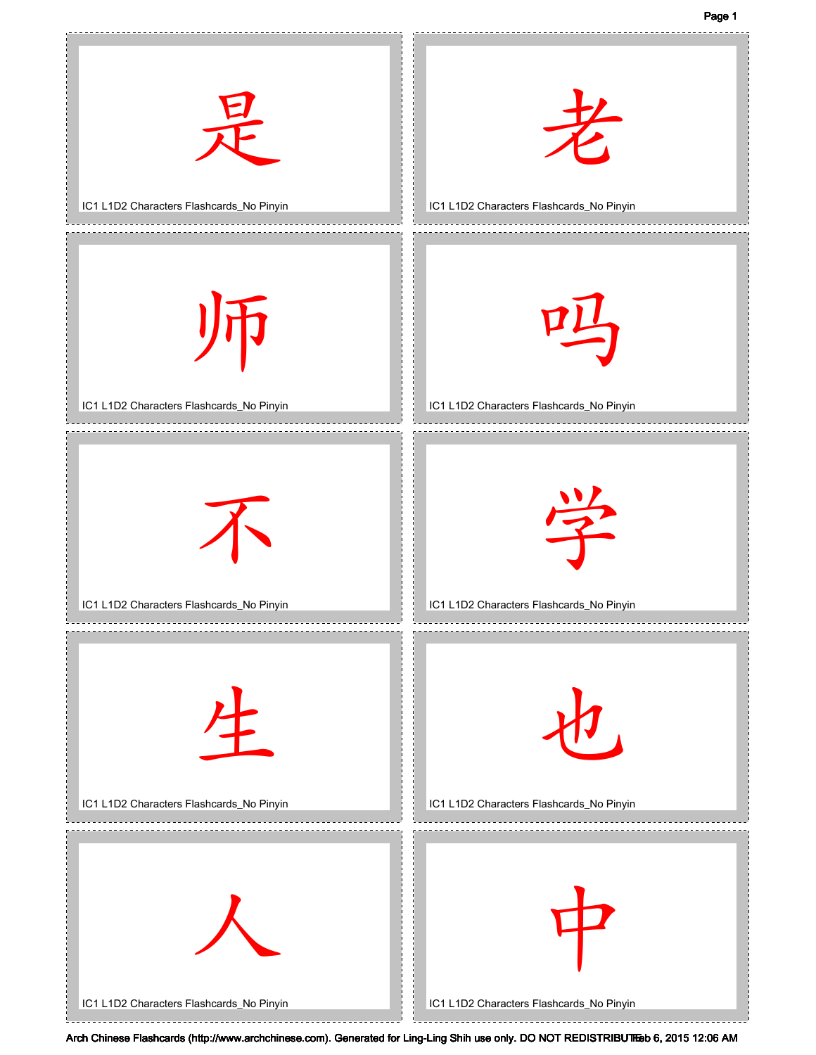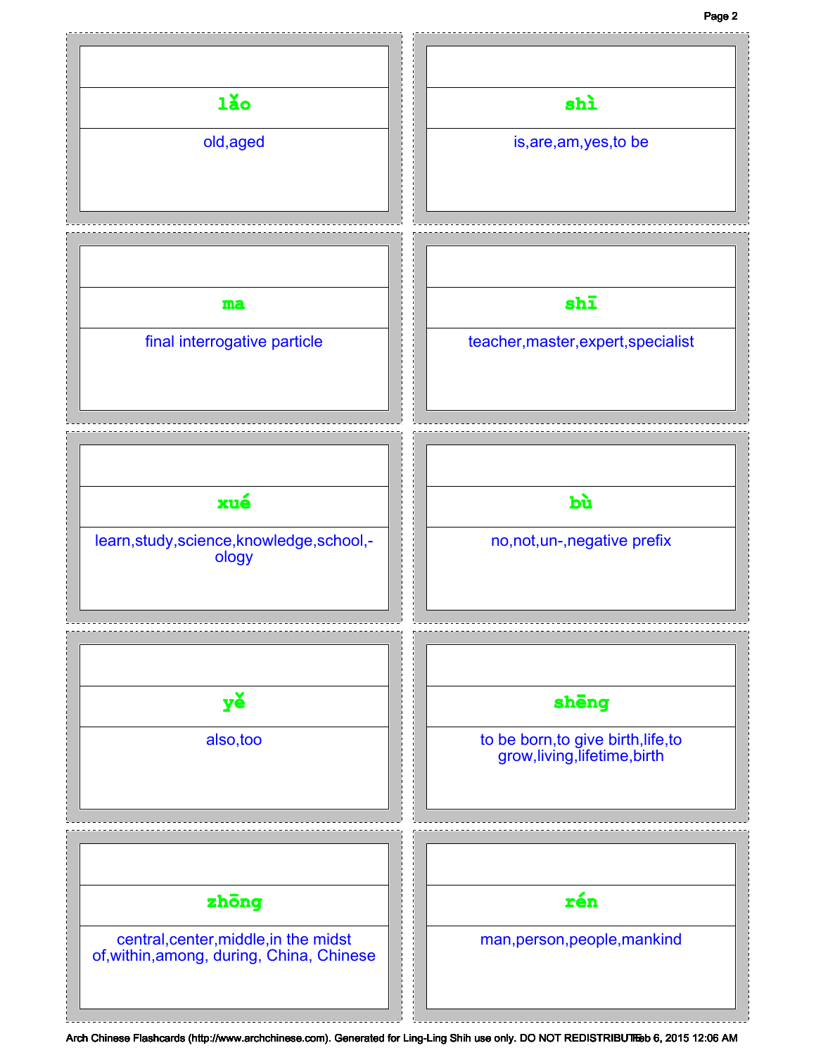## Page 2

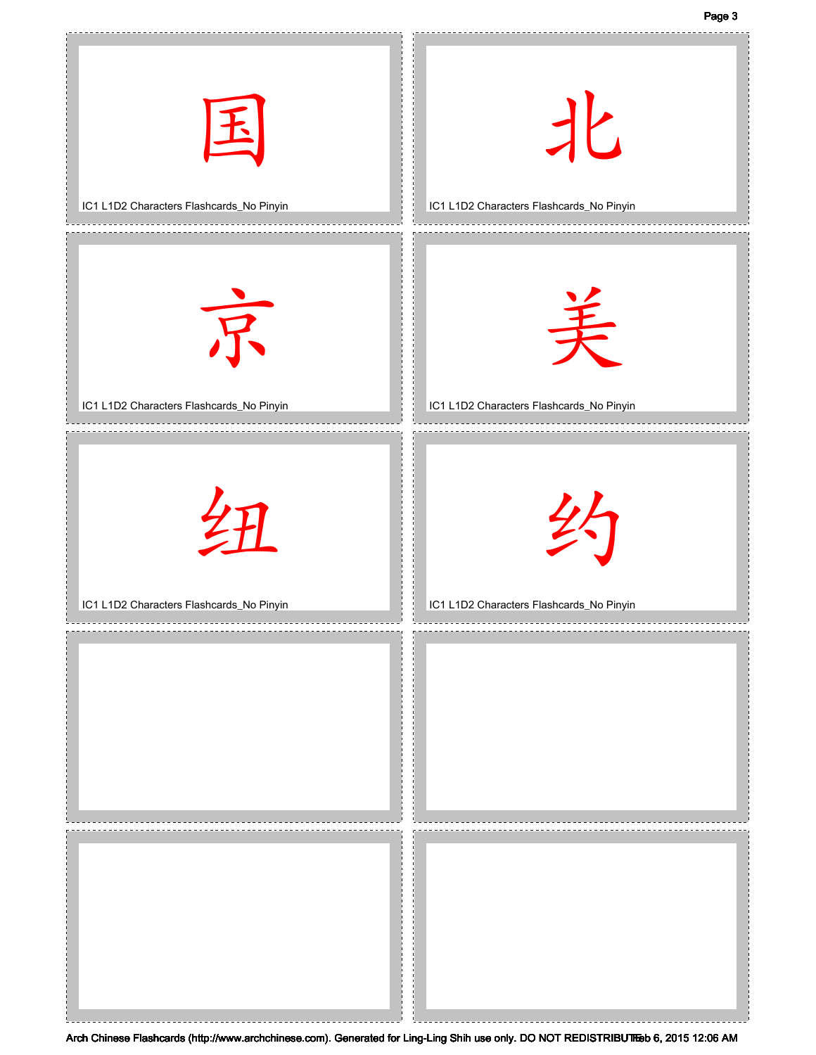